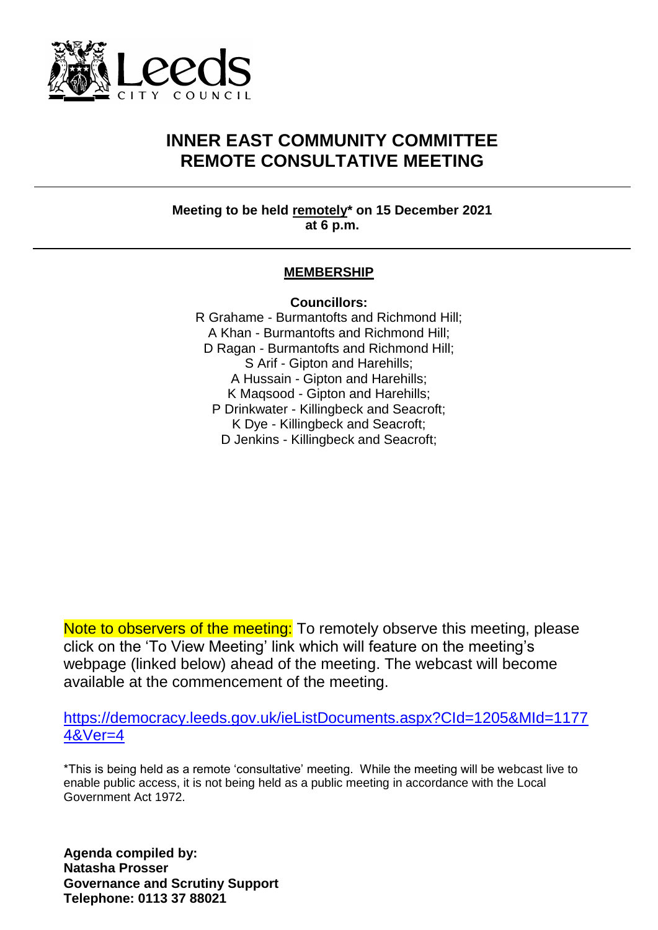

## **INNER EAST COMMUNITY COMMITTEE REMOTE CONSULTATIVE MEETING**

**Meeting to be held remotely\* on 15 December 2021 at 6 p.m.**

## **MEMBERSHIP**

**Councillors:**

R Grahame - Burmantofts and Richmond Hill; A Khan - Burmantofts and Richmond Hill; D Ragan - Burmantofts and Richmond Hill; S Arif - Gipton and Harehills; A Hussain - Gipton and Harehills; K Maqsood - Gipton and Harehills; P Drinkwater - Killingbeck and Seacroft; K Dye - Killingbeck and Seacroft; D Jenkins - Killingbeck and Seacroft;

Note to observers of the meeting: To remotely observe this meeting, please click on the 'To View Meeting' link which will feature on the meeting's webpage (linked below) ahead of the meeting. The webcast will become available at the commencement of the meeting.

[https://democracy.leeds.gov.uk/ieListDocuments.aspx?CId=1205&MId=1177](https://democracy.leeds.gov.uk/ieListDocuments.aspx?CId=1205&MId=11774&Ver=4) [4&Ver=4](https://democracy.leeds.gov.uk/ieListDocuments.aspx?CId=1205&MId=11774&Ver=4)

\*This is being held as a remote 'consultative' meeting. While the meeting will be webcast live to enable public access, it is not being held as a public meeting in accordance with the Local Government Act 1972.

**Agenda compiled by: Natasha Prosser Governance and Scrutiny Support Telephone: 0113 37 88021**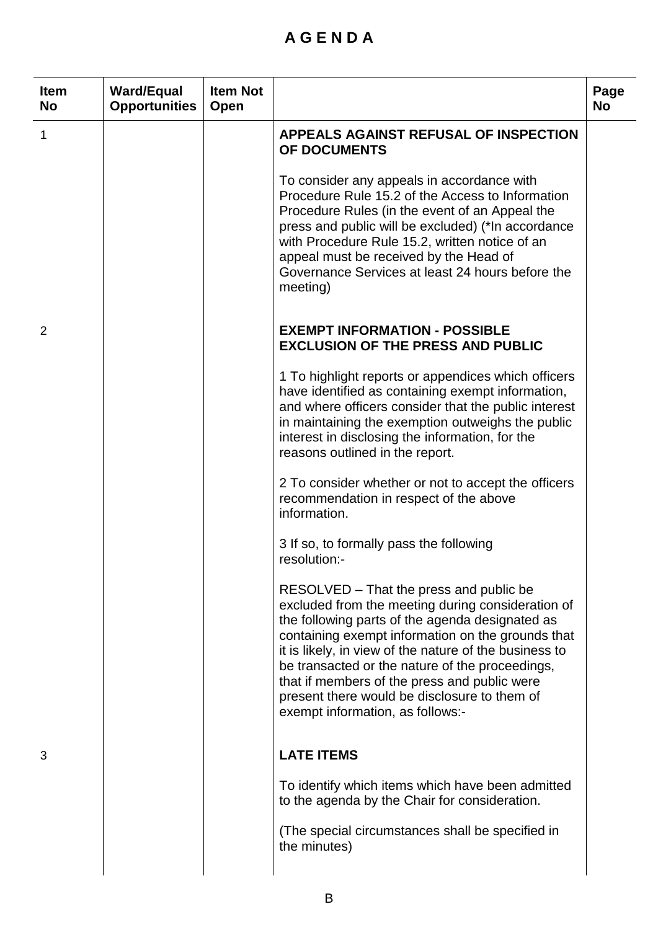## **A G E N D A**

| <b>Item</b><br><b>No</b> | <b>Ward/Equal</b><br><b>Opportunities</b> | <b>Item Not</b><br>Open |                                                                                                                                                                                                                                                                                                                                                                                                                                                       | Page<br><b>No</b> |
|--------------------------|-------------------------------------------|-------------------------|-------------------------------------------------------------------------------------------------------------------------------------------------------------------------------------------------------------------------------------------------------------------------------------------------------------------------------------------------------------------------------------------------------------------------------------------------------|-------------------|
| 1                        |                                           |                         | APPEALS AGAINST REFUSAL OF INSPECTION<br>OF DOCUMENTS                                                                                                                                                                                                                                                                                                                                                                                                 |                   |
|                          |                                           |                         | To consider any appeals in accordance with<br>Procedure Rule 15.2 of the Access to Information<br>Procedure Rules (in the event of an Appeal the<br>press and public will be excluded) (*In accordance<br>with Procedure Rule 15.2, written notice of an<br>appeal must be received by the Head of<br>Governance Services at least 24 hours before the<br>meeting)                                                                                    |                   |
| 2                        |                                           |                         | <b>EXEMPT INFORMATION - POSSIBLE</b><br><b>EXCLUSION OF THE PRESS AND PUBLIC</b>                                                                                                                                                                                                                                                                                                                                                                      |                   |
|                          |                                           |                         | 1 To highlight reports or appendices which officers<br>have identified as containing exempt information,<br>and where officers consider that the public interest<br>in maintaining the exemption outweighs the public<br>interest in disclosing the information, for the<br>reasons outlined in the report.                                                                                                                                           |                   |
|                          |                                           |                         | 2 To consider whether or not to accept the officers<br>recommendation in respect of the above<br>information.                                                                                                                                                                                                                                                                                                                                         |                   |
|                          |                                           |                         | 3 If so, to formally pass the following<br>resolution:-                                                                                                                                                                                                                                                                                                                                                                                               |                   |
|                          |                                           |                         | RESOLVED – That the press and public be<br>excluded from the meeting during consideration of<br>the following parts of the agenda designated as<br>containing exempt information on the grounds that<br>it is likely, in view of the nature of the business to<br>be transacted or the nature of the proceedings,<br>that if members of the press and public were<br>present there would be disclosure to them of<br>exempt information, as follows:- |                   |
| 3                        |                                           |                         | <b>LATE ITEMS</b>                                                                                                                                                                                                                                                                                                                                                                                                                                     |                   |
|                          |                                           |                         | To identify which items which have been admitted<br>to the agenda by the Chair for consideration.                                                                                                                                                                                                                                                                                                                                                     |                   |
|                          |                                           |                         | (The special circumstances shall be specified in<br>the minutes)                                                                                                                                                                                                                                                                                                                                                                                      |                   |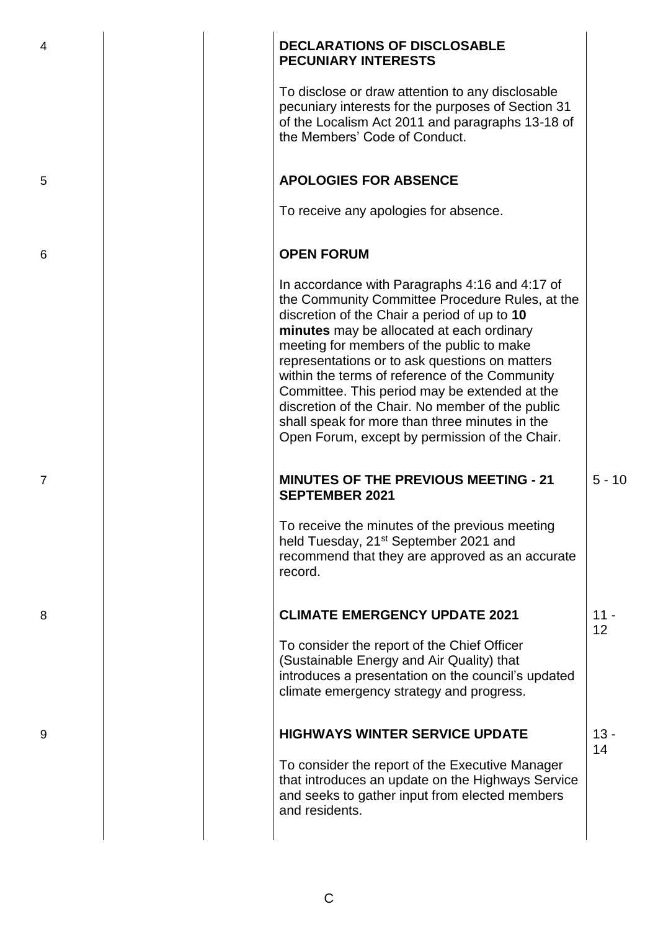| 4              |  | <b>DECLARATIONS OF DISCLOSABLE</b><br><b>PECUNIARY INTERESTS</b>                                                                                                                                                                                                                                                                                                                                                                                                                                                                                         |              |
|----------------|--|----------------------------------------------------------------------------------------------------------------------------------------------------------------------------------------------------------------------------------------------------------------------------------------------------------------------------------------------------------------------------------------------------------------------------------------------------------------------------------------------------------------------------------------------------------|--------------|
|                |  | To disclose or draw attention to any disclosable<br>pecuniary interests for the purposes of Section 31<br>of the Localism Act 2011 and paragraphs 13-18 of<br>the Members' Code of Conduct.                                                                                                                                                                                                                                                                                                                                                              |              |
| 5              |  | <b>APOLOGIES FOR ABSENCE</b>                                                                                                                                                                                                                                                                                                                                                                                                                                                                                                                             |              |
|                |  | To receive any apologies for absence.                                                                                                                                                                                                                                                                                                                                                                                                                                                                                                                    |              |
| 6              |  | <b>OPEN FORUM</b>                                                                                                                                                                                                                                                                                                                                                                                                                                                                                                                                        |              |
|                |  | In accordance with Paragraphs 4:16 and 4:17 of<br>the Community Committee Procedure Rules, at the<br>discretion of the Chair a period of up to 10<br>minutes may be allocated at each ordinary<br>meeting for members of the public to make<br>representations or to ask questions on matters<br>within the terms of reference of the Community<br>Committee. This period may be extended at the<br>discretion of the Chair. No member of the public<br>shall speak for more than three minutes in the<br>Open Forum, except by permission of the Chair. |              |
| $\overline{7}$ |  | <b>MINUTES OF THE PREVIOUS MEETING - 21</b><br><b>SEPTEMBER 2021</b>                                                                                                                                                                                                                                                                                                                                                                                                                                                                                     | $5 - 10$     |
|                |  | To receive the minutes of the previous meeting<br>held Tuesday, 21 <sup>st</sup> September 2021 and<br>recommend that they are approved as an accurate<br>record.                                                                                                                                                                                                                                                                                                                                                                                        |              |
| 8              |  | <b>CLIMATE EMERGENCY UPDATE 2021</b>                                                                                                                                                                                                                                                                                                                                                                                                                                                                                                                     | $11 -$<br>12 |
|                |  | To consider the report of the Chief Officer<br>(Sustainable Energy and Air Quality) that<br>introduces a presentation on the council's updated<br>climate emergency strategy and progress.                                                                                                                                                                                                                                                                                                                                                               |              |
| 9              |  | <b>HIGHWAYS WINTER SERVICE UPDATE</b>                                                                                                                                                                                                                                                                                                                                                                                                                                                                                                                    | $13 -$<br>14 |
|                |  | To consider the report of the Executive Manager<br>that introduces an update on the Highways Service<br>and seeks to gather input from elected members<br>and residents.                                                                                                                                                                                                                                                                                                                                                                                 |              |
|                |  |                                                                                                                                                                                                                                                                                                                                                                                                                                                                                                                                                          |              |